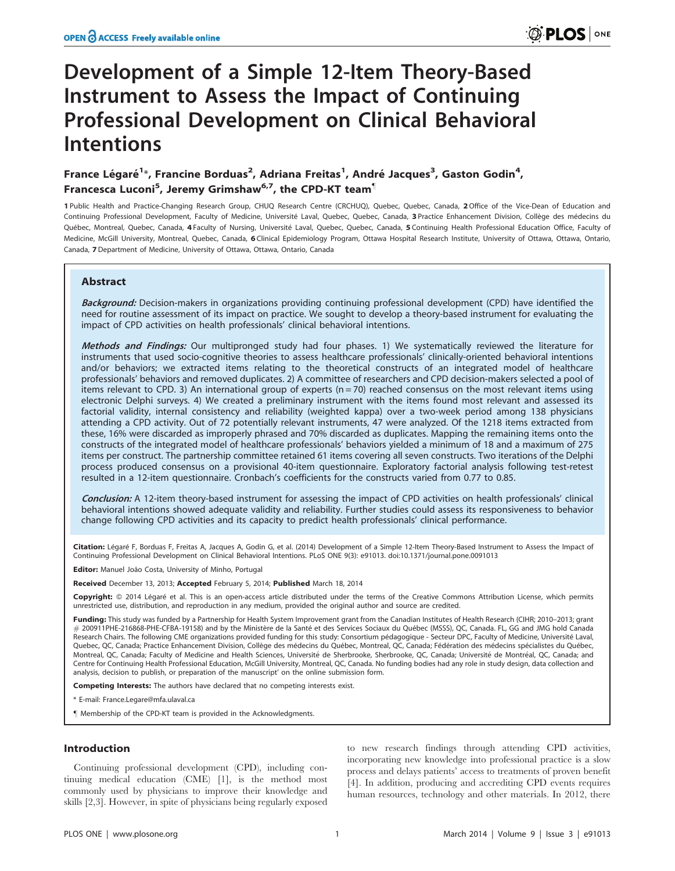# Development of a Simple 12-Item Theory-Based Instrument to Assess the Impact of Continuing Professional Development on Clinical Behavioral **Intentions**

## France Légaré<sup>1</sup>\*, Francine Borduas<sup>2</sup>, Adriana Freitas<sup>1</sup>, André Jacques<sup>3</sup>, Gaston Godin<sup>4</sup>, Francesca Luconi<sup>5</sup>, Jeremy Grimshaw<sup>6,7</sup>, the CPD-KT team<sup>¶</sup>

1 Public Health and Practice-Changing Research Group, CHUQ Research Centre (CRCHUQ), Quebec, Quebec, Canada, 2Office of the Vice-Dean of Education and Continuing Professional Development, Faculty of Medicine, Université Laval, Quebec, Quebec, Canada, 3 Practice Enhancement Division, Collège des médecins du Québec, Montreal, Quebec, Canada, 4 Faculty of Nursing, Université Laval, Quebec, Quebec, Canada, 5 Continuing Health Professional Education Office, Faculty of Medicine, McGill University, Montreal, Quebec, Canada, 6 Clinical Epidemiology Program, Ottawa Hospital Research Institute, University of Ottawa, Ottawa, Ontario, Canada, 7 Department of Medicine, University of Ottawa, Ottawa, Ontario, Canada

## Abstract

Background: Decision-makers in organizations providing continuing professional development (CPD) have identified the need for routine assessment of its impact on practice. We sought to develop a theory-based instrument for evaluating the impact of CPD activities on health professionals' clinical behavioral intentions.

Methods and Findings: Our multipronged study had four phases. 1) We systematically reviewed the literature for instruments that used socio-cognitive theories to assess healthcare professionals' clinically-oriented behavioral intentions and/or behaviors; we extracted items relating to the theoretical constructs of an integrated model of healthcare professionals' behaviors and removed duplicates. 2) A committee of researchers and CPD decision-makers selected a pool of items relevant to CPD. 3) An international group of experts ( $n = 70$ ) reached consensus on the most relevant items using electronic Delphi surveys. 4) We created a preliminary instrument with the items found most relevant and assessed its factorial validity, internal consistency and reliability (weighted kappa) over a two-week period among 138 physicians attending a CPD activity. Out of 72 potentially relevant instruments, 47 were analyzed. Of the 1218 items extracted from these, 16% were discarded as improperly phrased and 70% discarded as duplicates. Mapping the remaining items onto the constructs of the integrated model of healthcare professionals' behaviors yielded a minimum of 18 and a maximum of 275 items per construct. The partnership committee retained 61 items covering all seven constructs. Two iterations of the Delphi process produced consensus on a provisional 40-item questionnaire. Exploratory factorial analysis following test-retest resulted in a 12-item questionnaire. Cronbach's coefficients for the constructs varied from 0.77 to 0.85.

Conclusion: A 12-item theory-based instrument for assessing the impact of CPD activities on health professionals' clinical behavioral intentions showed adequate validity and reliability. Further studies could assess its responsiveness to behavior change following CPD activities and its capacity to predict health professionals' clinical performance.

Citation: Légaré F, Borduas F, Freitas A, Jacques A, Godin G, et al. (2014) Development of a Simple 12-Item Theory-Based Instrument to Assess the Impact of Continuing Professional Development on Clinical Behavioral Intentions. PLoS ONE 9(3): e91013. doi:10.1371/journal.pone.0091013

Editor: Manuel João Costa, University of Minho, Portugal

Received December 13, 2013; Accepted February 5, 2014; Published March 18, 2014

Copyright: © 2014 Légaré et al. This is an open-access article distributed under the terms of the [Creative Commons Attribution License](http://creativecommons.org/licenses/by/4.0/), which permits unrestricted use, distribution, and reproduction in any medium, provided the original author and source are credited.

Funding: This study was funded by a Partnership for Health System Improvement grant from the Canadian Institutes of Health Research (CIHR; 2010-2013; grant  $\#$  200911PHE-216868-PHE-CFBA-19158) and by the Ministère de la Santé et des Services Sociaux du Québec (MSSS), QC, Canada. FL, GG and JMG hold Canada Research Chairs. The following CME organizations provided funding for this study: Consortium pédagogique - Secteur DPC, Faculty of Medicine, Université Laval, Quebec, QC, Canada; Practice Enhancement Division, Collège des médecins du Québec, Montreal, QC, Canada; Fédération des médecins spécialistes du Québec, Montreal, QC, Canada; Faculty of Medicine and Health Sciences, Université de Sherbrooke, Sherbrooke, QC, Canada; Université de Montréal, QC, Canada; and Centre for Continuing Health Professional Education, McGill University, Montreal, QC, Canada. No funding bodies had any role in study design, data collection and analysis, decision to publish, or preparation of the manuscript' on the online submission form.

Competing Interests: The authors have declared that no competing interests exist.

\* E-mail: France.Legare@mfa.ulaval.ca

" Membership of the CPD-KT team is provided in the Acknowledgments.

## Introduction

Continuing professional development (CPD), including continuing medical education (CME) [1], is the method most commonly used by physicians to improve their knowledge and skills [2,3]. However, in spite of physicians being regularly exposed

to new research findings through attending CPD activities, incorporating new knowledge into professional practice is a slow process and delays patients' access to treatments of proven benefit [4]. In addition, producing and accrediting CPD events requires human resources, technology and other materials. In 2012, there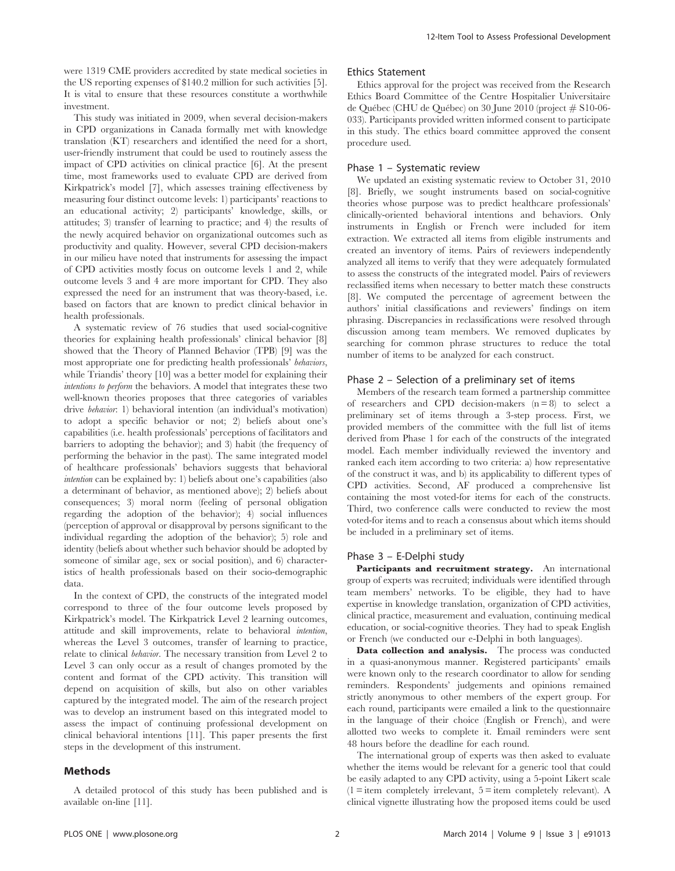were 1319 CME providers accredited by state medical societies in the US reporting expenses of \$140.2 million for such activities [5]. It is vital to ensure that these resources constitute a worthwhile investment.

This study was initiated in 2009, when several decision-makers in CPD organizations in Canada formally met with knowledge translation (KT) researchers and identified the need for a short, user-friendly instrument that could be used to routinely assess the impact of CPD activities on clinical practice [6]. At the present time, most frameworks used to evaluate CPD are derived from Kirkpatrick's model [7], which assesses training effectiveness by measuring four distinct outcome levels: 1) participants' reactions to an educational activity; 2) participants' knowledge, skills, or attitudes; 3) transfer of learning to practice; and 4) the results of the newly acquired behavior on organizational outcomes such as productivity and quality. However, several CPD decision-makers in our milieu have noted that instruments for assessing the impact of CPD activities mostly focus on outcome levels 1 and 2, while outcome levels 3 and 4 are more important for CPD. They also expressed the need for an instrument that was theory-based, i.e. based on factors that are known to predict clinical behavior in health professionals.

A systematic review of 76 studies that used social-cognitive theories for explaining health professionals' clinical behavior [8] showed that the Theory of Planned Behavior (TPB) [9] was the most appropriate one for predicting health professionals' behaviors, while Triandis' theory [10] was a better model for explaining their intentions to perform the behaviors. A model that integrates these two well-known theories proposes that three categories of variables drive behavior: 1) behavioral intention (an individual's motivation) to adopt a specific behavior or not; 2) beliefs about one's capabilities (i.e. health professionals' perceptions of facilitators and barriers to adopting the behavior); and 3) habit (the frequency of performing the behavior in the past). The same integrated model of healthcare professionals' behaviors suggests that behavioral intention can be explained by: 1) beliefs about one's capabilities (also a determinant of behavior, as mentioned above); 2) beliefs about consequences; 3) moral norm (feeling of personal obligation regarding the adoption of the behavior); 4) social influences (perception of approval or disapproval by persons significant to the individual regarding the adoption of the behavior); 5) role and identity (beliefs about whether such behavior should be adopted by someone of similar age, sex or social position), and 6) characteristics of health professionals based on their socio-demographic data.

In the context of CPD, the constructs of the integrated model correspond to three of the four outcome levels proposed by Kirkpatrick's model. The Kirkpatrick Level 2 learning outcomes, attitude and skill improvements, relate to behavioral intention, whereas the Level 3 outcomes, transfer of learning to practice, relate to clinical behavior. The necessary transition from Level 2 to Level 3 can only occur as a result of changes promoted by the content and format of the CPD activity. This transition will depend on acquisition of skills, but also on other variables captured by the integrated model. The aim of the research project was to develop an instrument based on this integrated model to assess the impact of continuing professional development on clinical behavioral intentions [11]. This paper presents the first steps in the development of this instrument.

## Methods

#### Ethics Statement

Ethics approval for the project was received from the Research Ethics Board Committee of the Centre Hospitalier Universitaire de Québec (CHU de Québec) on 30 June 2010 (project # S10-06-033). Participants provided written informed consent to participate in this study. The ethics board committee approved the consent procedure used.

## Phase 1 – Systematic review

We updated an existing systematic review to October 31, 2010 [8]. Briefly, we sought instruments based on social-cognitive theories whose purpose was to predict healthcare professionals' clinically-oriented behavioral intentions and behaviors. Only instruments in English or French were included for item extraction. We extracted all items from eligible instruments and created an inventory of items. Pairs of reviewers independently analyzed all items to verify that they were adequately formulated to assess the constructs of the integrated model. Pairs of reviewers reclassified items when necessary to better match these constructs [8]. We computed the percentage of agreement between the authors' initial classifications and reviewers' findings on item phrasing. Discrepancies in reclassifications were resolved through discussion among team members. We removed duplicates by searching for common phrase structures to reduce the total number of items to be analyzed for each construct.

### Phase 2 – Selection of a preliminary set of items

Members of the research team formed a partnership committee of researchers and CPD decision-makers  $(n = 8)$  to select a preliminary set of items through a 3-step process. First, we provided members of the committee with the full list of items derived from Phase 1 for each of the constructs of the integrated model. Each member individually reviewed the inventory and ranked each item according to two criteria: a) how representative of the construct it was, and b) its applicability to different types of CPD activities. Second, AF produced a comprehensive list containing the most voted-for items for each of the constructs. Third, two conference calls were conducted to review the most voted-for items and to reach a consensus about which items should be included in a preliminary set of items.

### Phase 3 – E-Delphi study

Participants and recruitment strategy. An international group of experts was recruited; individuals were identified through team members' networks. To be eligible, they had to have expertise in knowledge translation, organization of CPD activities, clinical practice, measurement and evaluation, continuing medical education, or social-cognitive theories. They had to speak English or French (we conducted our e-Delphi in both languages).

Data collection and analysis. The process was conducted in a quasi-anonymous manner. Registered participants' emails were known only to the research coordinator to allow for sending reminders. Respondents' judgements and opinions remained strictly anonymous to other members of the expert group. For each round, participants were emailed a link to the questionnaire in the language of their choice (English or French), and were allotted two weeks to complete it. Email reminders were sent 48 hours before the deadline for each round.

The international group of experts was then asked to evaluate whether the items would be relevant for a generic tool that could be easily adapted to any CPD activity, using a 5-point Likert scale  $(1 = item$  completely irrelevant,  $5 = item$  completely relevant). A clinical vignette illustrating how the proposed items could be used

A detailed protocol of this study has been published and is available on-line [11].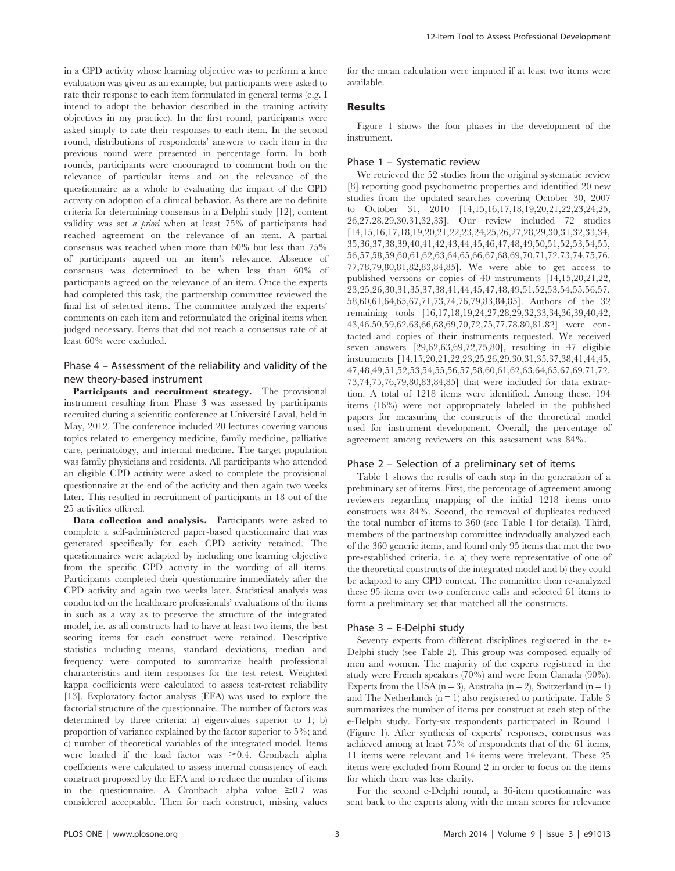in a CPD activity whose learning objective was to perform a knee evaluation was given as an example, but participants were asked to rate their response to each item formulated in general terms (e.g. I intend to adopt the behavior described in the training activity objectives in my practice). In the first round, participants were asked simply to rate their responses to each item. In the second round, distributions of respondents' answers to each item in the previous round were presented in percentage form. In both rounds, participants were encouraged to comment both on the relevance of particular items and on the relevance of the questionnaire as a whole to evaluating the impact of the CPD activity on adoption of a clinical behavior. As there are no definite criteria for determining consensus in a Delphi study [12], content validity was set a priori when at least 75% of participants had reached agreement on the relevance of an item. A partial consensus was reached when more than 60% but less than 75% of participants agreed on an item's relevance. Absence of consensus was determined to be when less than 60% of participants agreed on the relevance of an item. Once the experts had completed this task, the partnership committee reviewed the final list of selected items. The committee analyzed the experts' comments on each item and reformulated the original items when judged necessary. Items that did not reach a consensus rate of at least 60% were excluded.

## Phase 4 – Assessment of the reliability and validity of the new theory-based instrument

Participants and recruitment strategy. The provisional instrument resulting from Phase 3 was assessed by participants recruited during a scientific conference at Université Laval, held in May, 2012. The conference included 20 lectures covering various topics related to emergency medicine, family medicine, palliative care, perinatology, and internal medicine. The target population was family physicians and residents. All participants who attended an eligible CPD activity were asked to complete the provisional questionnaire at the end of the activity and then again two weeks later. This resulted in recruitment of participants in 18 out of the 25 activities offered.

Data collection and analysis. Participants were asked to complete a self-administered paper-based questionnaire that was generated specifically for each CPD activity retained. The questionnaires were adapted by including one learning objective from the specific CPD activity in the wording of all items. Participants completed their questionnaire immediately after the CPD activity and again two weeks later. Statistical analysis was conducted on the healthcare professionals' evaluations of the items in such as a way as to preserve the structure of the integrated model, i.e. as all constructs had to have at least two items, the best scoring items for each construct were retained. Descriptive statistics including means, standard deviations, median and frequency were computed to summarize health professional characteristics and item responses for the test retest. Weighted kappa coefficients were calculated to assess test-retest reliability [13]. Exploratory factor analysis (EFA) was used to explore the factorial structure of the questionnaire. The number of factors was determined by three criteria: a) eigenvalues superior to 1; b) proportion of variance explained by the factor superior to 5%; and c) number of theoretical variables of the integrated model. Items were loaded if the load factor was  $\geq 0.4$ . Cronbach alpha coefficients were calculated to assess internal consistency of each construct proposed by the EFA and to reduce the number of items in the questionnaire. A Cronbach alpha value  $\geq 0.7$  was considered acceptable. Then for each construct, missing values for the mean calculation were imputed if at least two items were available.

## Results

Figure 1 shows the four phases in the development of the instrument.

## Phase 1 – Systematic review

We retrieved the 52 studies from the original systematic review [8] reporting good psychometric properties and identified 20 new studies from the updated searches covering October 30, 2007 to October 31, 2010 [14,15,16,17,18,19,20,21,22,23,24,25, 26,27,28,29,30,31,32,33]. Our review included 72 studies [14,15,16,17,18,19,20,21,22,23,24,25,26,27,28,29,30,31,32,33,34, 35,36,37,38,39,40,41,42,43,44,45,46,47,48,49,50,51,52,53,54,55, 56,57,58,59,60,61,62,63,64,65,66,67,68,69,70,71,72,73,74,75,76, 77,78,79,80,81,82,83,84,85]. We were able to get access to published versions or copies of 40 instruments [14,15,20,21,22, 23,25,26,30,31,35,37,38,41,44,45,47,48,49,51,52,53,54,55,56,57, 58,60,61,64,65,67,71,73,74,76,79,83,84,85]. Authors of the 32 remaining tools [16,17,18,19,24,27,28,29,32,33,34,36,39,40,42, 43,46,50,59,62,63,66,68,69,70,72,75,77,78,80,81,82] were contacted and copies of their instruments requested. We received seven answers [29,62,63,69,72,75,80], resulting in 47 eligible instruments [14,15,20,21,22,23,25,26,29,30,31,35,37,38,41,44,45, 47,48,49,51,52,53,54,55,56,57,58,60,61,62,63,64,65,67,69,71,72, 73,74,75,76,79,80,83,84,85] that were included for data extraction. A total of 1218 items were identified. Among these, 194 items (16%) were not appropriately labeled in the published papers for measuring the constructs of the theoretical model used for instrument development. Overall, the percentage of agreement among reviewers on this assessment was 84%.

## Phase 2 – Selection of a preliminary set of items

Table 1 shows the results of each step in the generation of a preliminary set of items. First, the percentage of agreement among reviewers regarding mapping of the initial 1218 items onto constructs was 84%. Second, the removal of duplicates reduced the total number of items to 360 (see Table 1 for details). Third, members of the partnership committee individually analyzed each of the 360 generic items, and found only 95 items that met the two pre-established criteria, i.e. a) they were representative of one of the theoretical constructs of the integrated model and b) they could be adapted to any CPD context. The committee then re-analyzed these 95 items over two conference calls and selected 61 items to form a preliminary set that matched all the constructs.

#### Phase 3 – E-Delphi study

Seventy experts from different disciplines registered in the e-Delphi study (see Table 2). This group was composed equally of men and women. The majority of the experts registered in the study were French speakers (70%) and were from Canada (90%). Experts from the USA ( $n = 3$ ), Australia ( $n = 2$ ), Switzerland ( $n = 1$ ) and The Netherlands  $(n = 1)$  also registered to participate. Table 3 summarizes the number of items per construct at each step of the e-Delphi study. Forty-six respondents participated in Round 1 (Figure 1). After synthesis of experts' responses, consensus was achieved among at least 75% of respondents that of the 61 items, 11 items were relevant and 14 items were irrelevant. These 25 items were excluded from Round 2 in order to focus on the items for which there was less clarity.

For the second e-Delphi round, a 36-item questionnaire was sent back to the experts along with the mean scores for relevance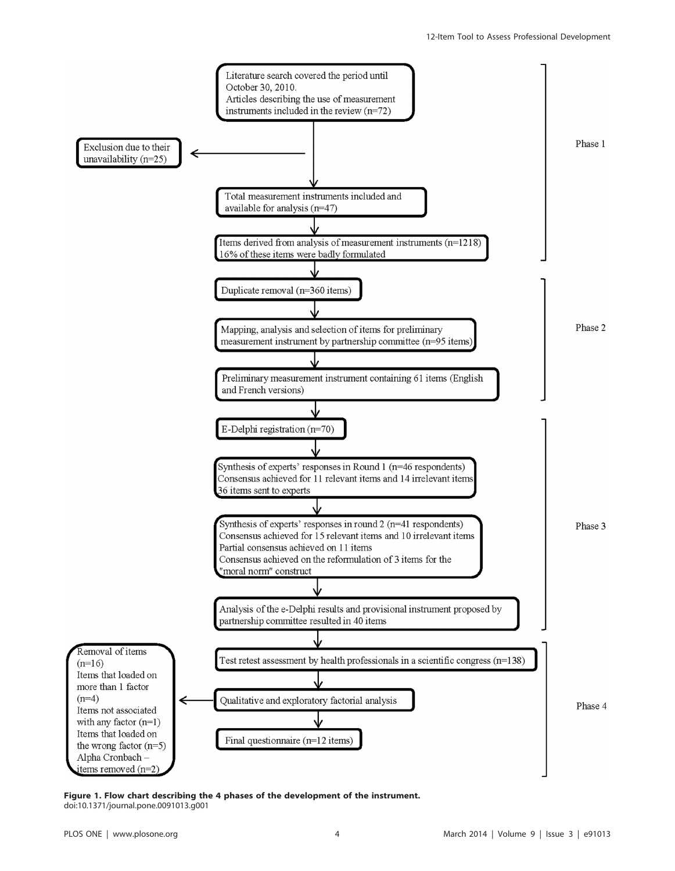

Figure 1. Flow chart describing the 4 phases of the development of the instrument. doi:10.1371/journal.pone.0091013.g001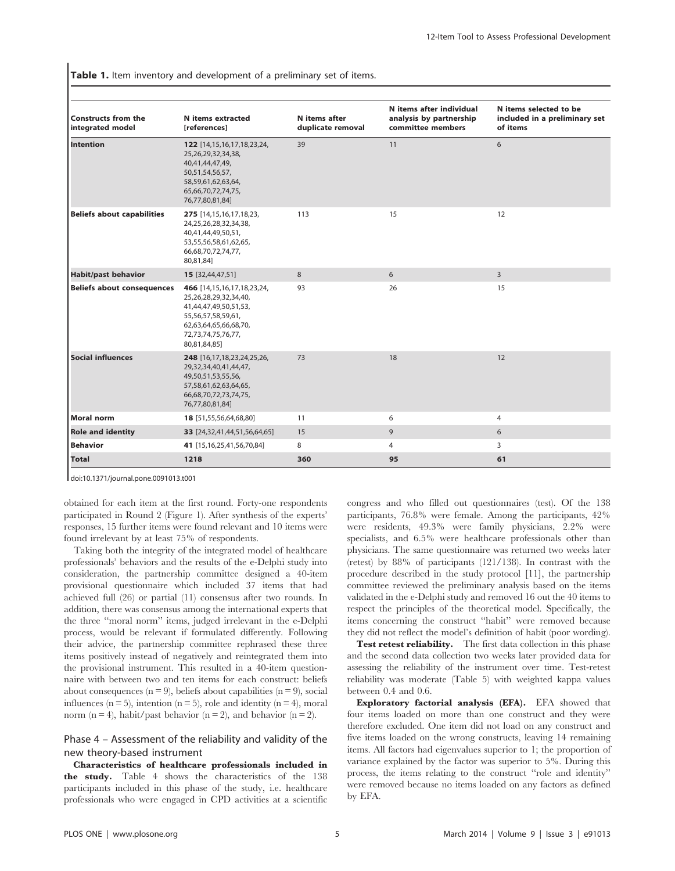Table 1. Item inventory and development of a preliminary set of items.

| <b>Constructs from the</b><br>integrated model | N items extracted<br><b>[references]</b>                                                                                                                          | N items after<br>duplicate removal | N items after individual<br>analysis by partnership<br>committee members | N items selected to be<br>included in a preliminary set<br>of items |
|------------------------------------------------|-------------------------------------------------------------------------------------------------------------------------------------------------------------------|------------------------------------|--------------------------------------------------------------------------|---------------------------------------------------------------------|
| Intention                                      | 122 [14,15,16,17,18,23,24,<br>25,26,29,32,34,38,<br>40,41,44,47,49,<br>50, 51, 54, 56, 57,<br>58,59,61,62,63,64,<br>65,66,70,72,74,75,<br>76,77,80,81,84]         | 39                                 | 11                                                                       | 6                                                                   |
| <b>Beliefs about capabilities</b>              | 275 [14,15,16,17,18,23,<br>24,25,26,28,32,34,38,<br>40,41,44,49,50,51,<br>53,55,56,58,61,62,65,<br>66,68,70,72,74,77,<br>80,81,841                                | 113                                | 15                                                                       | 12                                                                  |
| <b>Habit/past behavior</b>                     | 15 [32,44,47,51]                                                                                                                                                  | 8                                  | 6                                                                        | $\overline{3}$                                                      |
| <b>Beliefs about consequences</b>              | 466 [14,15,16,17,18,23,24,<br>25,26,28,29,32,34,40,<br>41,44,47,49,50,51,53,<br>55,56,57,58,59,61,<br>62,63,64,65,66,68,70,<br>72,73,74,75,76,77,<br>80,81,84,85] | 93                                 | 26                                                                       | 15                                                                  |
| <b>Social influences</b>                       | 248 [16,17,18,23,24,25,26,<br>29, 32, 34, 40, 41, 44, 47,<br>49,50,51,53,55,56,<br>57,58,61,62,63,64,65,<br>66,68,70,72,73,74,75,<br>76,77,80,81,84]              | 73                                 | 18                                                                       | 12                                                                  |
| <b>Moral norm</b>                              | 18 [51,55,56,64,68,80]                                                                                                                                            | 11                                 | 6                                                                        | 4                                                                   |
| <b>Role and identity</b>                       | 33 [24,32,41,44,51,56,64,65]                                                                                                                                      | 15                                 | 9                                                                        | 6                                                                   |
| <b>Behavior</b>                                | 41 [15,16,25,41,56,70,84]                                                                                                                                         | 8                                  | 4                                                                        | 3                                                                   |
| <b>Total</b>                                   | 1218                                                                                                                                                              | 360                                | 95                                                                       | 61                                                                  |
|                                                |                                                                                                                                                                   |                                    |                                                                          |                                                                     |

doi:10.1371/journal.pone.0091013.t001

obtained for each item at the first round. Forty-one respondents participated in Round 2 (Figure 1). After synthesis of the experts' responses, 15 further items were found relevant and 10 items were found irrelevant by at least 75% of respondents.

Taking both the integrity of the integrated model of healthcare professionals' behaviors and the results of the e-Delphi study into consideration, the partnership committee designed a 40-item provisional questionnaire which included 37 items that had achieved full (26) or partial (11) consensus after two rounds. In addition, there was consensus among the international experts that the three ''moral norm'' items, judged irrelevant in the e-Delphi process, would be relevant if formulated differently. Following their advice, the partnership committee rephrased these three items positively instead of negatively and reintegrated them into the provisional instrument. This resulted in a 40-item questionnaire with between two and ten items for each construct: beliefs about consequences  $(n = 9)$ , beliefs about capabilities  $(n = 9)$ , social influences  $(n = 5)$ , intention  $(n = 5)$ , role and identity  $(n = 4)$ , moral norm ( $n = 4$ ), habit/past behavior ( $n = 2$ ), and behavior ( $n = 2$ ).

## Phase 4 – Assessment of the reliability and validity of the new theory-based instrument

Characteristics of healthcare professionals included in the study. Table 4 shows the characteristics of the 138 participants included in this phase of the study, i.e. healthcare professionals who were engaged in CPD activities at a scientific congress and who filled out questionnaires (test). Of the 138 participants, 76.8% were female. Among the participants, 42% were residents, 49.3% were family physicians, 2.2% were specialists, and 6.5% were healthcare professionals other than physicians. The same questionnaire was returned two weeks later (retest) by 88% of participants (121/138). In contrast with the procedure described in the study protocol [11], the partnership committee reviewed the preliminary analysis based on the items validated in the e-Delphi study and removed 16 out the 40 items to respect the principles of the theoretical model. Specifically, the items concerning the construct ''habit'' were removed because they did not reflect the model's definition of habit (poor wording).

Test retest reliability. The first data collection in this phase and the second data collection two weeks later provided data for assessing the reliability of the instrument over time. Test-retest reliability was moderate (Table 5) with weighted kappa values between 0.4 and 0.6.

Exploratory factorial analysis (EFA). EFA showed that four items loaded on more than one construct and they were therefore excluded. One item did not load on any construct and five items loaded on the wrong constructs, leaving 14 remaining items. All factors had eigenvalues superior to 1; the proportion of variance explained by the factor was superior to 5%. During this process, the items relating to the construct ''role and identity'' were removed because no items loaded on any factors as defined by EFA.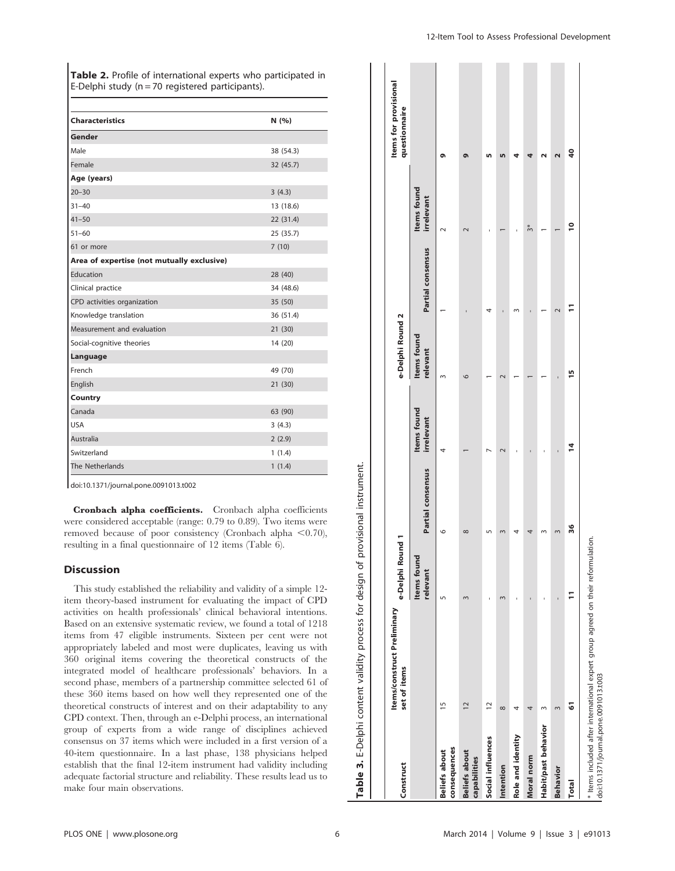Table 2. Profile of international experts who participated in E-Delphi study ( $n = 70$  registered participants).

| <b>Characteristics</b>                     | N (%)     |
|--------------------------------------------|-----------|
| Gender                                     |           |
| Male                                       | 38 (54.3) |
| Female                                     | 32 (45.7) |
| Age (years)                                |           |
| $20 - 30$                                  | 3(4.3)    |
| $31 - 40$                                  | 13 (18.6) |
| $41 - 50$                                  | 22 (31.4) |
| $51 - 60$                                  | 25 (35.7) |
| 61 or more                                 | 7(10)     |
| Area of expertise (not mutually exclusive) |           |
| Education                                  | 28 (40)   |
| Clinical practice                          | 34 (48.6) |
| CPD activities organization                | 35 (50)   |
| Knowledge translation                      | 36 (51.4) |
| Measurement and evaluation                 | 21 (30)   |
| Social-cognitive theories                  | 14 (20)   |
| Language                                   |           |
| French                                     | 49 (70)   |
| English                                    | 21(30)    |
| Country                                    |           |
| Canada                                     | 63 (90)   |
| <b>USA</b>                                 | 3(4.3)    |
| Australia                                  | 2(2.9)    |
| Switzerland                                | 1(1.4)    |
| The Netherlands                            | 1(1.4)    |

doi:10.1371/journal.pone.0091013.t002

Cronbach alpha coefficients. Cronbach alpha coefficients were considered acceptable (range: 0.79 to 0.89). Two items were removed because of poor consistency (Cronbach alpha  $\leq 0.70$ ), resulting in a final questionnaire of 12 items (Table 6).

## Discussion

This study established the reliability and validity of a simple 12 item theory-based instrument for evaluating the impact of CPD activities on health professionals' clinical behavioral intentions. Based on an extensive systematic review, we found a total of 1218 items from 47 eligible instruments. Sixteen per cent were not appropriately labeled and most were duplicates, leaving us with 360 original items covering the theoretical constructs of the integrated model of healthcare professionals' behaviors. In a second phase, members of a partnership committee selected 61 of these 360 items based on how well they represented one of the theoretical constructs of interest and on their adaptability to any CPD context. Then, through an e-Delphi process, an international group of experts from a wide range of disciplines achieved consensus on 37 items which were included in a first version of a 40-item questionnaire. In a last phase, 138 physicians helped establish that the final 12-item instrument had validity including adequate factorial structure and reliability. These results lead us to make four main observations.

| Construct                            | Items/construct Preliminary<br>set of items | e-Delphi Round 1        |                   |                           | e-Delphi Round 2        |                   |                           | Items for provisional<br>questionnaire |
|--------------------------------------|---------------------------------------------|-------------------------|-------------------|---------------------------|-------------------------|-------------------|---------------------------|----------------------------------------|
|                                      |                                             | Items found<br>relevant | Partial consensus | Items found<br>irrelevant | Items found<br>relevant | Partial consensus | Items found<br>irrelevant |                                        |
| consequences<br><b>Beliefs about</b> | 15                                          | 5                       | $\circ$           |                           |                         |                   | $\sim$                    | ໑                                      |
| <b>Beliefs about</b><br>capabilities | $\overline{c}$                              | 3                       | $\infty$          |                           | 6                       |                   | $\sim$                    | ത                                      |
| Social influences                    | $\overline{c}$                              |                         | LO                |                           |                         |                   |                           |                                        |
| Intention                            | $\infty$                                    | 3                       | $\sim$            |                           |                         |                   |                           |                                        |
| Role and identity                    |                                             |                         |                   |                           |                         |                   |                           |                                        |
| Moral norm                           |                                             |                         | 4                 |                           |                         |                   | $\tilde{3}^*$             |                                        |
| Habit/past behavior                  |                                             |                         | m                 |                           |                         |                   |                           |                                        |
| <b>Behavior</b>                      | $\infty$                                    | ï                       | 3                 |                           |                         |                   |                           |                                        |
| <b>Total</b>                         | 5                                           | Ξ                       | 36                | $\overline{4}$            | 15                      | Ξ                 | $\overline{a}$            | 9                                      |

Table 3. E-Delphi content validity process for design of provisional instrument.

E-Delphi content validity

 $\dot{m}$ Table:

process for design of provisional instrument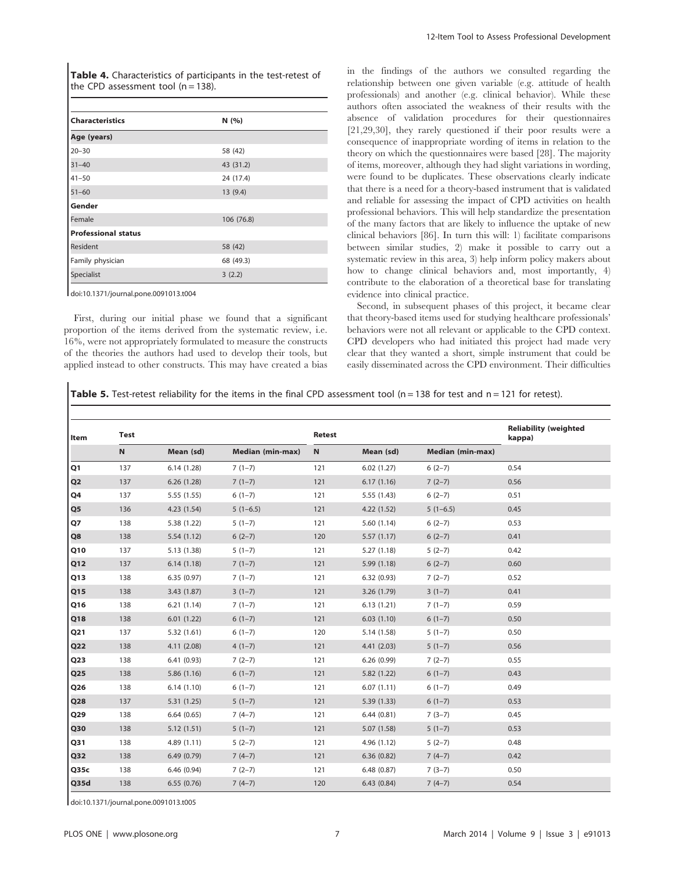Table 4. Characteristics of participants in the test-retest of the CPD assessment tool  $(n = 138)$ .

| <b>Characteristics</b>     | N(96)      |
|----------------------------|------------|
| Age (years)                |            |
| $20 - 30$                  | 58 (42)    |
| $31 - 40$                  | 43 (31.2)  |
| $41 - 50$                  | 24 (17.4)  |
| $51 - 60$                  | 13 (9.4)   |
| Gender                     |            |
| Female                     | 106 (76.8) |
| <b>Professional status</b> |            |
| Resident                   | 58 (42)    |
| Family physician           | 68 (49.3)  |
| Specialist                 | 3(2.2)     |

doi:10.1371/journal.pone.0091013.t004

First, during our initial phase we found that a significant proportion of the items derived from the systematic review, i.e. 16%, were not appropriately formulated to measure the constructs of the theories the authors had used to develop their tools, but applied instead to other constructs. This may have created a bias in the findings of the authors we consulted regarding the relationship between one given variable (e.g. attitude of health professionals) and another (e.g. clinical behavior). While these authors often associated the weakness of their results with the absence of validation procedures for their questionnaires [21,29,30], they rarely questioned if their poor results were a consequence of inappropriate wording of items in relation to the theory on which the questionnaires were based [28]. The majority of items, moreover, although they had slight variations in wording, were found to be duplicates. These observations clearly indicate that there is a need for a theory-based instrument that is validated and reliable for assessing the impact of CPD activities on health professional behaviors. This will help standardize the presentation of the many factors that are likely to influence the uptake of new clinical behaviors [86]. In turn this will: 1) facilitate comparisons between similar studies, 2) make it possible to carry out a systematic review in this area, 3) help inform policy makers about how to change clinical behaviors and, most importantly, 4) contribute to the elaboration of a theoretical base for translating evidence into clinical practice.

Second, in subsequent phases of this project, it became clear that theory-based items used for studying healthcare professionals' behaviors were not all relevant or applicable to the CPD context. CPD developers who had initiated this project had made very clear that they wanted a short, simple instrument that could be easily disseminated across the CPD environment. Their difficulties

Table 5. Test-retest reliability for the items in the final CPD assessment tool (n = 138 for test and n = 121 for retest).

| Item            | <b>Test</b>  |             |                  | Retest |             |                         | <b>Reliability (weighted</b><br>kappa) |
|-----------------|--------------|-------------|------------------|--------|-------------|-------------------------|----------------------------------------|
|                 | $\mathsf{N}$ | Mean (sd)   | Median (min-max) | N.     | Mean (sd)   | <b>Median (min-max)</b> |                                        |
| Q <sub>1</sub>  | 137          | 6.14(1.28)  | $7(1-7)$         | 121    | 6.02(1.27)  | $6(2-7)$                | 0.54                                   |
| Q <sub>2</sub>  | 137          | 6.26(1.28)  | $7(1-7)$         | 121    | 6.17(1.16)  | $7(2-7)$                | 0.56                                   |
| Q4              | 137          | 5.55(1.55)  | $6(1-7)$         | 121    | 5.55(1.43)  | $6(2-7)$                | 0.51                                   |
| Q5              | 136          | 4.23(1.54)  | $5(1-6.5)$       | 121    | 4.22(1.52)  | $5(1-6.5)$              | 0.45                                   |
| Q7              | 138          | 5.38 (1.22) | $5(1-7)$         | 121    | 5.60(1.14)  | $6(2-7)$                | 0.53                                   |
| Q8              | 138          | 5.54(1.12)  | $6(2-7)$         | 120    | 5.57(1.17)  | $6(2-7)$                | 0.41                                   |
| Q10             | 137          | 5.13 (1.38) | $5(1-7)$         | 121    | 5.27(1.18)  | $5(2-7)$                | 0.42                                   |
| Q12             | 137          | 6.14(1.18)  | $7(1-7)$         | 121    | 5.99(1.18)  | $6(2-7)$                | 0.60                                   |
| Q13             | 138          | 6.35(0.97)  | $7(1-7)$         | 121    | 6.32(0.93)  | $7(2-7)$                | 0.52                                   |
| Q15             | 138          | 3.43(1.87)  | $3(1-7)$         | 121    | 3.26(1.79)  | $3(1-7)$                | 0.41                                   |
| Q16             | 138          | 6.21(1.14)  | $7(1-7)$         | 121    | 6.13(1.21)  | $7(1-7)$                | 0.59                                   |
| Q18             | 138          | 6.01(1.22)  | $6(1-7)$         | 121    | 6.03(1.10)  | $6(1-7)$                | 0.50                                   |
| Q21             | 137          | 5.32(1.61)  | $6(1-7)$         | 120    | 5.14 (1.58) | $5(1-7)$                | 0.50                                   |
| Q22             | 138          | 4.11 (2.08) | $4(1-7)$         | 121    | 4.41(2.03)  | $5(1-7)$                | 0.56                                   |
| Q <sub>23</sub> | 138          | 6.41(0.93)  | $7(2-7)$         | 121    | 6.26(0.99)  | $7(2-7)$                | 0.55                                   |
| Q <sub>25</sub> | 138          | 5.86(1.16)  | $6(1-7)$         | 121    | 5.82(1.22)  | $6(1-7)$                | 0.43                                   |
| Q26             | 138          | 6.14(1.10)  | $6(1-7)$         | 121    | 6.07(1.11)  | $6(1-7)$                | 0.49                                   |
| Q <sub>28</sub> | 137          | 5.31(1.25)  | $5(1-7)$         | 121    | 5.39(1.33)  | $6(1-7)$                | 0.53                                   |
| Q29             | 138          | 6.64(0.65)  | $7(4-7)$         | 121    | 6.44(0.81)  | $7(3-7)$                | 0.45                                   |
| Q30             | 138          | 5.12(1.51)  | $5(1-7)$         | 121    | 5.07(1.58)  | $5(1-7)$                | 0.53                                   |
| Q31             | 138          | 4.89(1.11)  | $5(2-7)$         | 121    | 4.96(1.12)  | $5(2-7)$                | 0.48                                   |
| Q32             | 138          | 6.49(0.79)  | $7(4-7)$         | 121    | 6.36(0.82)  | $7(4-7)$                | 0.42                                   |
| Q35c            | 138          | 6.46(0.94)  | $7(2-7)$         | 121    | 6.48(0.87)  | $7(3-7)$                | 0.50                                   |
| Q35d            | 138          | 6.55(0.76)  | $7(4-7)$         | 120    | 6.43(0.84)  | $7(4-7)$                | 0.54                                   |

doi:10.1371/journal.pone.0091013.t005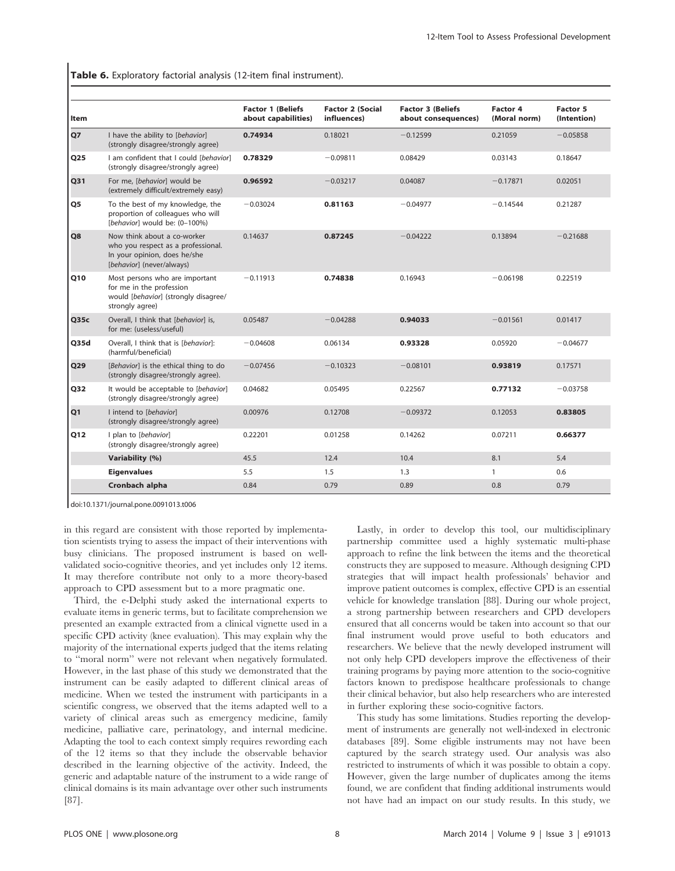Table 6. Exploratory factorial analysis (12-item final instrument).

| <b>Factor 1 (Beliefs</b><br><b>Factor 3 (Beliefs</b><br>Factor 4<br><b>Factor 2 (Social</b><br>about capabilities)<br>influences)<br>(Moral norm)<br><b>Item</b><br>about consequences)<br>Q7<br>I have the ability to [behavior]<br>0.74934<br>0.18021<br>0.21059<br>$-0.12599$<br>(strongly disagree/strongly agree)<br>Q <sub>25</sub><br>I am confident that I could [behavior]<br>0.78329<br>$-0.09811$<br>0.08429<br>0.03143<br>(strongly disagree/strongly agree)<br>Q31<br>0.96592<br>For me, [behavior] would be<br>$-0.03217$<br>0.04087<br>$-0.17871$<br>(extremely difficult/extremely easy)<br>Q5<br>$-0.03024$<br>To the best of my knowledge, the<br>0.81163<br>$-0.04977$<br>$-0.14544$<br>proportion of colleagues who will<br>[behavior] would be: (0-100%)<br>Q8<br>Now think about a co-worker<br>0.14637<br>0.87245<br>$-0.04222$<br>0.13894 |                         |
|-------------------------------------------------------------------------------------------------------------------------------------------------------------------------------------------------------------------------------------------------------------------------------------------------------------------------------------------------------------------------------------------------------------------------------------------------------------------------------------------------------------------------------------------------------------------------------------------------------------------------------------------------------------------------------------------------------------------------------------------------------------------------------------------------------------------------------------------------------------------|-------------------------|
|                                                                                                                                                                                                                                                                                                                                                                                                                                                                                                                                                                                                                                                                                                                                                                                                                                                                   | Factor 5<br>(Intention) |
|                                                                                                                                                                                                                                                                                                                                                                                                                                                                                                                                                                                                                                                                                                                                                                                                                                                                   | $-0.05858$              |
|                                                                                                                                                                                                                                                                                                                                                                                                                                                                                                                                                                                                                                                                                                                                                                                                                                                                   | 0.18647                 |
|                                                                                                                                                                                                                                                                                                                                                                                                                                                                                                                                                                                                                                                                                                                                                                                                                                                                   | 0.02051                 |
|                                                                                                                                                                                                                                                                                                                                                                                                                                                                                                                                                                                                                                                                                                                                                                                                                                                                   | 0.21287                 |
| who you respect as a professional.<br>In your opinion, does he/she<br>[behavior] (never/always)                                                                                                                                                                                                                                                                                                                                                                                                                                                                                                                                                                                                                                                                                                                                                                   | $-0.21688$              |
| Q10<br>Most persons who are important<br>$-0.11913$<br>0.74838<br>0.16943<br>$-0.06198$<br>for me in the profession<br>would [behavior] (strongly disagree/<br>strongly agree)                                                                                                                                                                                                                                                                                                                                                                                                                                                                                                                                                                                                                                                                                    | 0.22519                 |
| Overall, I think that [behavior] is,<br>0.05487<br>$-0.04288$<br>0.94033<br>$-0.01561$<br>Q35c<br>for me: (useless/useful)                                                                                                                                                                                                                                                                                                                                                                                                                                                                                                                                                                                                                                                                                                                                        | 0.01417                 |
| Q35d<br>Overall, I think that is [behavior]:<br>$-0.04608$<br>0.06134<br>0.93328<br>0.05920<br>(harmful/beneficial)                                                                                                                                                                                                                                                                                                                                                                                                                                                                                                                                                                                                                                                                                                                                               | $-0.04677$              |
| $-0.07456$<br>Q29<br>[Behavior] is the ethical thing to do<br>$-0.10323$<br>$-0.08101$<br>0.93819<br>(strongly disagree/strongly agree).                                                                                                                                                                                                                                                                                                                                                                                                                                                                                                                                                                                                                                                                                                                          | 0.17571                 |
| Q32<br>0.04682<br>It would be acceptable to [behavior]<br>0.05495<br>0.22567<br>0.77132<br>(strongly disagree/strongly agree)                                                                                                                                                                                                                                                                                                                                                                                                                                                                                                                                                                                                                                                                                                                                     | $-0.03758$              |
| Q1<br>I intend to [behavior]<br>0.00976<br>0.12708<br>$-0.09372$<br>0.12053<br>(strongly disagree/strongly agree)                                                                                                                                                                                                                                                                                                                                                                                                                                                                                                                                                                                                                                                                                                                                                 | 0.83805                 |
| Q12<br>0.22201<br>0.01258<br>0.14262<br>0.07211<br>I plan to [behavior]<br>(strongly disagree/strongly agree)                                                                                                                                                                                                                                                                                                                                                                                                                                                                                                                                                                                                                                                                                                                                                     | 0.66377                 |
| 12.4<br>10.4<br>8.1<br>Variability (%)<br>45.5                                                                                                                                                                                                                                                                                                                                                                                                                                                                                                                                                                                                                                                                                                                                                                                                                    | 5.4                     |
| 5.5<br><b>Eigenvalues</b><br>1.5<br>1.3<br>$\mathbf{1}$                                                                                                                                                                                                                                                                                                                                                                                                                                                                                                                                                                                                                                                                                                                                                                                                           | 0.6                     |
| Cronbach alpha<br>0.84<br>0.79<br>0.89<br>0.8                                                                                                                                                                                                                                                                                                                                                                                                                                                                                                                                                                                                                                                                                                                                                                                                                     | 0.79                    |

doi:10.1371/journal.pone.0091013.t006

in this regard are consistent with those reported by implementation scientists trying to assess the impact of their interventions with busy clinicians. The proposed instrument is based on wellvalidated socio-cognitive theories, and yet includes only 12 items. It may therefore contribute not only to a more theory-based approach to CPD assessment but to a more pragmatic one.

Third, the e-Delphi study asked the international experts to evaluate items in generic terms, but to facilitate comprehension we presented an example extracted from a clinical vignette used in a specific CPD activity (knee evaluation). This may explain why the majority of the international experts judged that the items relating to ''moral norm'' were not relevant when negatively formulated. However, in the last phase of this study we demonstrated that the instrument can be easily adapted to different clinical areas of medicine. When we tested the instrument with participants in a scientific congress, we observed that the items adapted well to a variety of clinical areas such as emergency medicine, family medicine, palliative care, perinatology, and internal medicine. Adapting the tool to each context simply requires rewording each of the 12 items so that they include the observable behavior described in the learning objective of the activity. Indeed, the generic and adaptable nature of the instrument to a wide range of clinical domains is its main advantage over other such instruments [87].

Lastly, in order to develop this tool, our multidisciplinary partnership committee used a highly systematic multi-phase approach to refine the link between the items and the theoretical constructs they are supposed to measure. Although designing CPD strategies that will impact health professionals' behavior and improve patient outcomes is complex, effective CPD is an essential vehicle for knowledge translation [88]. During our whole project, a strong partnership between researchers and CPD developers ensured that all concerns would be taken into account so that our final instrument would prove useful to both educators and researchers. We believe that the newly developed instrument will not only help CPD developers improve the effectiveness of their training programs by paying more attention to the socio-cognitive factors known to predispose healthcare professionals to change their clinical behavior, but also help researchers who are interested in further exploring these socio-cognitive factors.

This study has some limitations. Studies reporting the development of instruments are generally not well-indexed in electronic databases [89]. Some eligible instruments may not have been captured by the search strategy used. Our analysis was also restricted to instruments of which it was possible to obtain a copy. However, given the large number of duplicates among the items found, we are confident that finding additional instruments would not have had an impact on our study results. In this study, we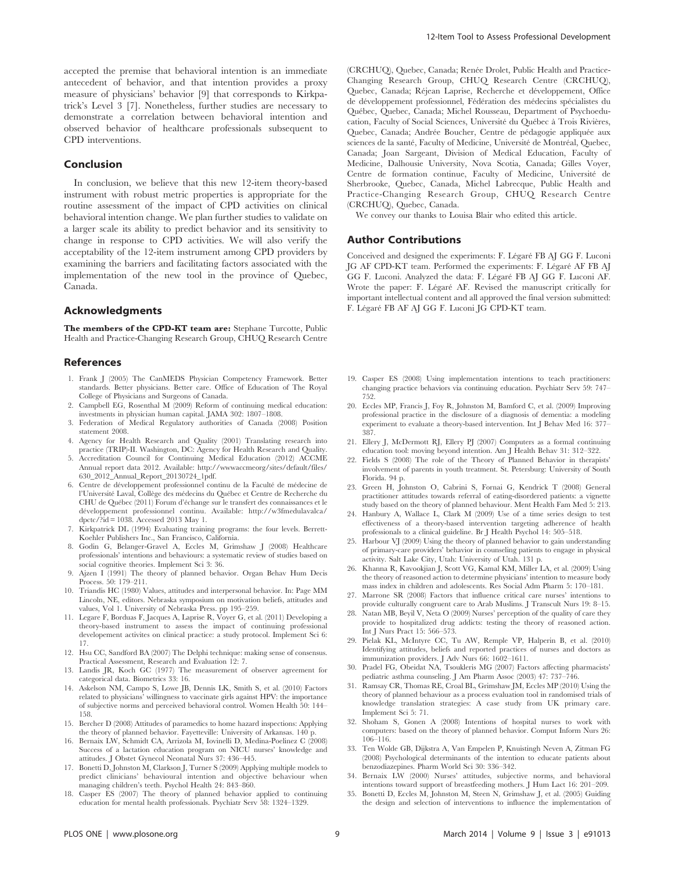accepted the premise that behavioral intention is an immediate antecedent of behavior, and that intention provides a proxy measure of physicians' behavior [9] that corresponds to Kirkpatrick's Level 3 [7]. Nonetheless, further studies are necessary to demonstrate a correlation between behavioral intention and observed behavior of healthcare professionals subsequent to CPD interventions.

## Conclusion

In conclusion, we believe that this new 12-item theory-based instrument with robust metric properties is appropriate for the routine assessment of the impact of CPD activities on clinical behavioral intention change. We plan further studies to validate on a larger scale its ability to predict behavior and its sensitivity to change in response to CPD activities. We will also verify the acceptability of the 12-item instrument among CPD providers by examining the barriers and facilitating factors associated with the implementation of the new tool in the province of Quebec, Canada.

## Acknowledgments

The members of the CPD-KT team are: Stephane Turcotte, Public Health and Practice-Changing Research Group, CHUQ Research Centre

#### References

- 1. Frank J (2005) The CanMEDS Physician Competency Framework. Better standards. Better physicians. Better care. Office of Education of The Royal College of Physicians and Surgeons of Canada.
- 2. Campbell EG, Rosenthal M (2009) Reform of continuing medical education: investments in physician human capital. JAMA 302: 1807–1808.
- 3. Federation of Medical Regulatory authorities of Canada (2008) Position statement 2008.
- 4. Agency for Health Research and Quality (2001) Translating research into practice (TRIP)-II. Washington, DC: Agency for Health Research and Quality.
- 5. Accreditation Council for Continuing Medical Education (2012) ACCME Annual report data 2012. Available: [http://wwwaccmeorg/sites/default/files/](http://wwwaccmeorg/sites/default/files/630_2012_Annual_Report_20130724_1pdf) [630\\_2012\\_Annual\\_Report\\_20130724\\_1pdf.](http://wwwaccmeorg/sites/default/files/630_2012_Annual_Report_20130724_1pdf)
- 6. Centre de développement professionnel continu de la Faculté de médecine de l'Université Laval, Collège des médecins du Québec et Centre de Recherche du CHU de Québec (2011) Forum d'échange sur le transfert des connaissances et le de´veloppement professionnel continu. Available: [http://w3fmedulavalca/](http://w3fmedulavalca/dpctc/?id=1038) [dpctc/?id = 1038.](http://w3fmedulavalca/dpctc/?id=1038) Accessed 2013 May 1.
- 7. Kirkpatrick DL (1994) Evaluating training programs: the four levels. Berrett-Koehler Publishers Inc., San Francisco, California.
- 8. Godin G, Belanger-Gravel A, Eccles M, Grimshaw J (2008) Healthcare professionals' intentions and behaviours: a systematic review of studies based on social cognitive theories. Implement Sci 3: 36.
- 9. Ajzen I (1991) The theory of planned behavior. Organ Behav Hum Decis Process. 50: 179–211.
- 10. Triandis HC (1980) Values, attitudes and interpersonal behavior. In: Page MM Lincoln, NE, editors. Nebraska symposium on motivation beliefs, attitudes and values, Vol 1. University of Nebraska Press. pp 195–259.
- 11. Legare F, Borduas F, Jacques A, Laprise R, Voyer G, et al. (2011) Developing a theory-based instrument to assess the impact of continuing professional developement activites on clinical practice: a study protocol. Implement Sci 6: 17.
- 12. Hsu CC, Sandford BA (2007) The Delphi technique: making sense of consensus. Practical Assessment, Research and Evaluation 12: 7.
- 13. Landis JR, Koch GC (1977) The measurement of observer agreement for categorical data. Biometrics 33: 16.
- 14. Askelson NM, Campo S, Lowe JB, Dennis LK, Smith S, et al. (2010) Factors related to physicians' willingness to vaccinate girls against HPV: the importance of subjective norms and perceived behavioral control. Women Health 50: 144– 158.
- 15. Bercher D (2008) Attitudes of paramedics to home hazard inspections: Applying the theory of planned behavior. Fayetteville: University of Arkansas. 140 p.
- 16. Bernaix LW, Schmidt CA, Arrizola M, Iovinelli D, Medina-Poelinez C (2008) Success of a lactation education program on NICU nurses' knowledge and attitudes. J Obstet Gynecol Neonatal Nurs 37: 436–445.
- 17. Bonetti D, Johnston M, Clarkson J, Turner S (2009) Applying multiple models to predict clinicians' behavioural intention and objective behaviour when managing children's teeth. Psychol Health 24: 843–860.
- 18. Casper ES (2007) The theory of planned behavior applied to continuing education for mental health professionals. Psychiatr Serv 58: 1324–1329.

(CRCHUO), Quebec, Canada; Renée Drolet, Public Health and Practice-Changing Research Group, CHUQ Research Centre (CRCHUQ), Quebec, Canada; Réjean Laprise, Recherche et développement, Office de développement professionnel, Fédération des médecins spécialistes du Québec, Quebec, Canada; Michel Rousseau, Department of Psychoeducation, Faculty of Social Sciences, Université du Québec à Trois Rivières, Quebec, Canada; Andrée Boucher, Centre de pédagogie appliquée aux sciences de la santé, Faculty of Medicine, Université de Montréal, Quebec, Canada; Joan Sargeant, Division of Medical Education, Faculty of Medicine, Dalhousie University, Nova Scotia, Canada; Gilles Voyer, Centre de formation continue, Faculty of Medicine, Universite´ de Sherbrooke, Quebec, Canada, Michel Labrecque, Public Health and Practice-Changing Research Group, CHUQ Research Centre (CRCHUQ), Quebec, Canada.

We convey our thanks to Louisa Blair who edited this article.

#### Author Contributions

Conceived and designed the experiments: F. Légaré FB AJ GG F. Luconi JG AF CPD-KT team. Performed the experiments: F. Légaré AF FB AJ GG F. Luconi. Analyzed the data: F. Légaré FB AJ GG F. Luconi AF. Wrote the paper: F. Légaré AF. Revised the manuscript critically for important intellectual content and all approved the final version submitted: F. Légaré FB AF AJ GG F. Luconi JG CPD-KT team.

- 19. Casper ES (2008) Using implementation intentions to teach practitioners: changing practice behaviors via continuing education. Psychiatr Serv 59: 747– 752.
- 20. Eccles MP, Francis J, Foy R, Johnston M, Bamford C, et al. (2009) Improving professional practice in the disclosure of a diagnosis of dementia: a modeling experiment to evaluate a theory-based intervention. Int J Behav Med 16: 377– 387.
- 21. Ellery J, McDermott RJ, Ellery PJ (2007) Computers as a formal continuing education tool: moving beyond intention. Am J Health Behav 31: 312–322.
- 22. Fields S (2008) The role of the Theory of Planned Behavior in therapists' involvement of parents in youth treatment. St. Petersburg: University of South Florida. 94 p.
- 23. Green H, Johnston O, Cabrini S, Fornai G, Kendrick T (2008) General practitioner attitudes towards referral of eating-disordered patients: a vignette study based on the theory of planned behaviour. Ment Health Fam Med 5: 213.
- 24. Hanbury A, Wallace L, Clark M (2009) Use of a time series design to test effectiveness of a theory-based intervention targeting adherence of health professionals to a clinical guideline. Br J Health Psychol 14: 505–518.
- 25. Harbour VJ (2009) Using the theory of planned behavior to gain understanding of primary-care providers' behavior in counseling patients to engage in physical activity. Salt Lake City, Utah: University of Utah. 131 p.
- 26. Khanna R, Kavookjian J, Scott VG, Kamal KM, Miller LA, et al. (2009) Using the theory of reasoned action to determine physicians' intention to measure body mass index in children and adolescents. Res Social Adm Pharm 5: 170–181.
- 27. Marrone SR (2008) Factors that influence critical care nurses' intentions to provide culturally congruent care to Arab Muslims. J Transcult Nurs 19: 8–15.
- 28. Natan MB, Beyil V, Neta O (2009) Nurses' perception of the quality of care they provide to hospitalized drug addicts: testing the theory of reasoned action. Int J Nurs Pract 15: 566–573.
- 29. Pielak KL, McIntyre CC, Tu AW, Remple VP, Halperin B, et al. (2010) Identifying attitudes, beliefs and reported practices of nurses and doctors as immunization providers. J Adv Nurs 66: 1602–1611.
- 30. Pradel FG, Obeidat NA, Tsoukleris MG (2007) Factors affecting pharmacists' pediatric asthma counseling. J Am Pharm Assoc (2003) 47: 737–746.
- 31. Ramsay CR, Thomas RE, Croal BL, Grimshaw JM, Eccles MP (2010) Using the theory of planned behaviour as a process evaluation tool in randomised trials of knowledge translation strategies: A case study from UK primary care. Implement Sci 5: 71.
- 32. Shoham S, Gonen A (2008) Intentions of hospital nurses to work with computers: based on the theory of planned behavior. Comput Inform Nurs 26: 106–116.
- 33. Ten Wolde GB, Dijkstra A, Van Empelen P, Knuistingh Neven A, Zitman FG (2008) Psychological determinants of the intention to educate patients about benzodiazepines. Pharm World Sci 30: 336–342.
- 34. Bernaix LW (2000) Nurses' attitudes, subjective norms, and behavioral intentions toward support of breastfeeding mothers. J Hum Lact 16: 201–209.
- 35. Bonetti D, Eccles M, Johnston M, Steen N, Grimshaw J, et al. (2005) Guiding the design and selection of interventions to influence the implementation of